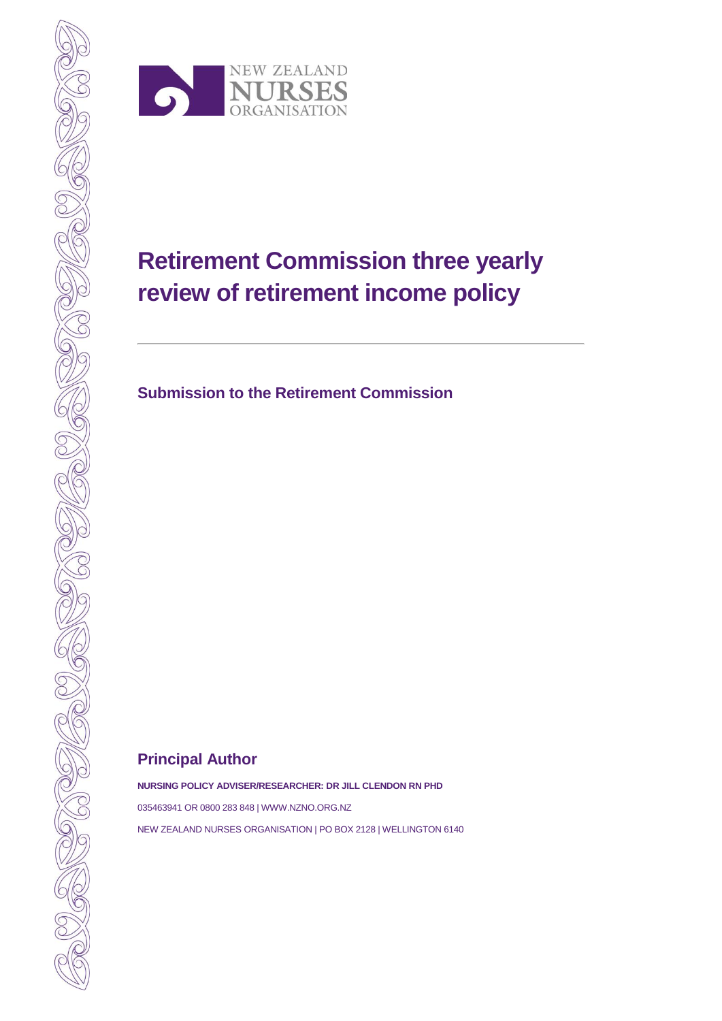

# **Retirement Commission three yearly review of retirement income policy**

**Submission to the Retirement Commission** 

## **Principal Author**

**NURSING POLICY ADVISER/RESEARCHER: DR JILL CLENDON RN PHD**

035463941 OR 0800 283 848 | WWW.NZNO.ORG.NZ NEW ZEALAND NURSES ORGANISATION | PO BOX 2128 | WELLINGTON 6140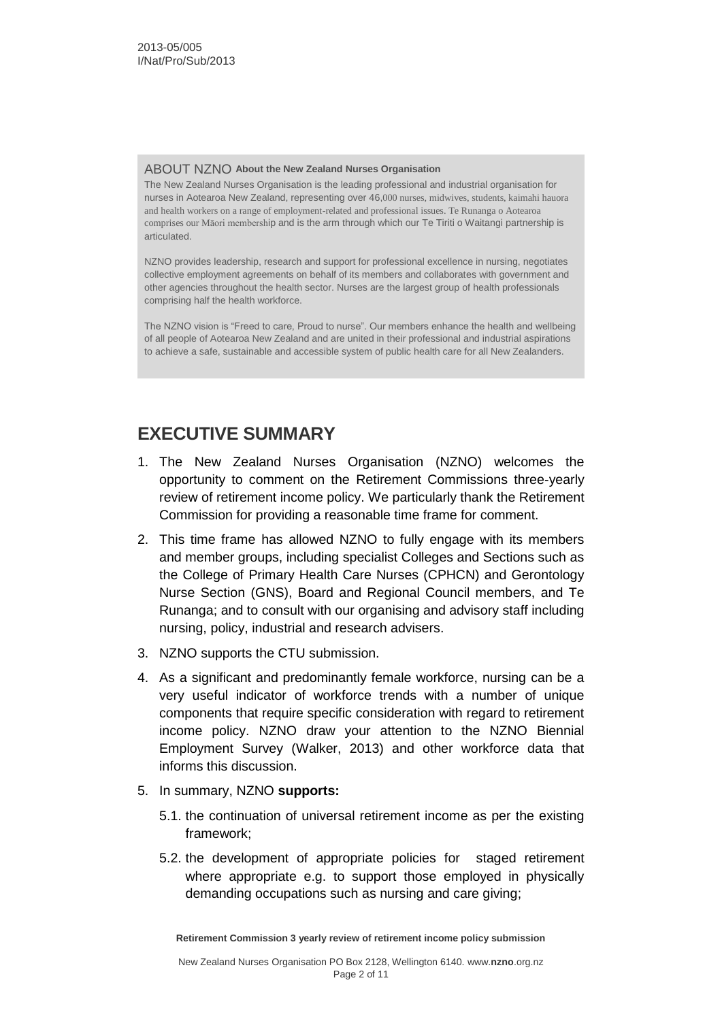#### ABOUT NZNO **About the New Zealand Nurses Organisation**

The New Zealand Nurses Organisation is the leading professional and industrial organisation for nurses in Aotearoa New Zealand, representing over 46,000 nurses, midwives, students, kaimahi hauora and health workers on a range of employment-related and professional issues. Te Runanga o Aotearoa comprises our Māori membership and is the arm through which our Te Tiriti o Waitangi partnership is articulated.

NZNO provides leadership, research and support for professional excellence in nursing, negotiates collective employment agreements on behalf of its members and collaborates with government and other agencies throughout the health sector. Nurses are the largest group of health professionals comprising half the health workforce.

The NZNO vision is "Freed to care, Proud to nurse". Our members enhance the health and wellbeing of all people of Aotearoa New Zealand and are united in their professional and industrial aspirations to achieve a safe, sustainable and accessible system of public health care for all New Zealanders.

## **EXECUTIVE SUMMARY**

- 1. The New Zealand Nurses Organisation (NZNO) welcomes the opportunity to comment on the Retirement Commissions three-yearly review of retirement income policy. We particularly thank the Retirement Commission for providing a reasonable time frame for comment.
- 2. This time frame has allowed NZNO to fully engage with its members and member groups, including specialist Colleges and Sections such as the College of Primary Health Care Nurses (CPHCN) and Gerontology Nurse Section (GNS), Board and Regional Council members, and Te Runanga; and to consult with our organising and advisory staff including nursing, policy, industrial and research advisers.
- 3. NZNO supports the CTU submission.
- 4. As a significant and predominantly female workforce, nursing can be a very useful indicator of workforce trends with a number of unique components that require specific consideration with regard to retirement income policy. NZNO draw your attention to the NZNO Biennial Employment Survey (Walker, 2013) and other workforce data that informs this discussion.
- 5. In summary, NZNO **supports:**
	- 5.1. the continuation of universal retirement income as per the existing framework;
	- 5.2. the development of appropriate policies for staged retirement where appropriate e.g. to support those employed in physically demanding occupations such as nursing and care giving;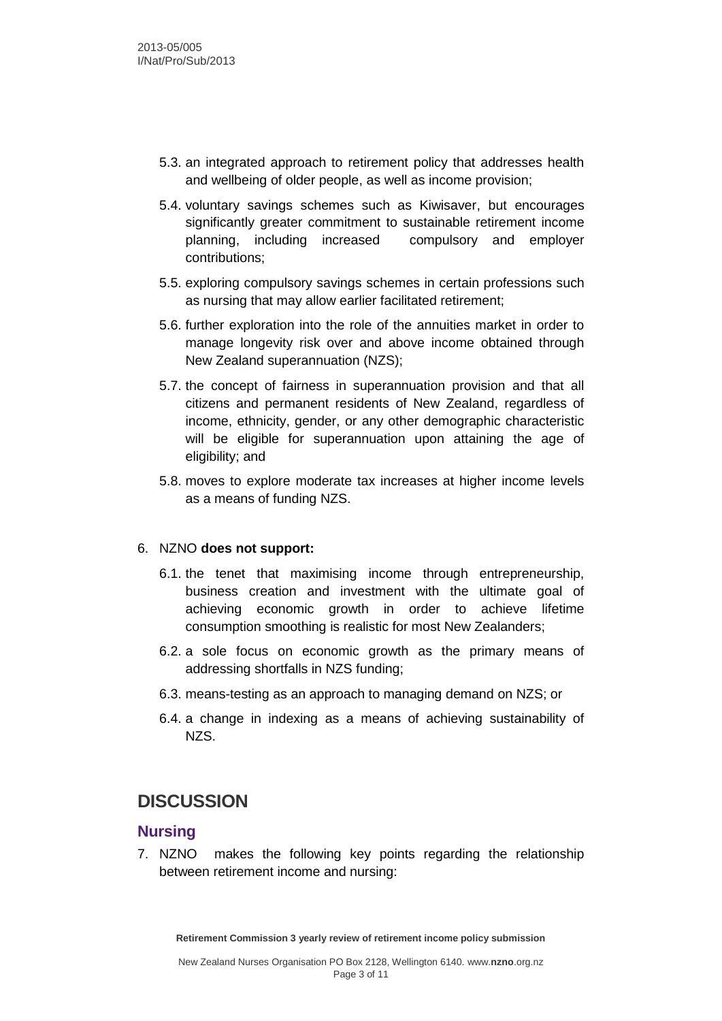- 5.3. an integrated approach to retirement policy that addresses health and wellbeing of older people, as well as income provision;
- 5.4. voluntary savings schemes such as Kiwisaver, but encourages significantly greater commitment to sustainable retirement income planning, including increased compulsory and employer contributions;
- 5.5. exploring compulsory savings schemes in certain professions such as nursing that may allow earlier facilitated retirement;
- 5.6. further exploration into the role of the annuities market in order to manage longevity risk over and above income obtained through New Zealand superannuation (NZS);
- 5.7. the concept of fairness in superannuation provision and that all citizens and permanent residents of New Zealand, regardless of income, ethnicity, gender, or any other demographic characteristic will be eligible for superannuation upon attaining the age of eligibility; and
- 5.8. moves to explore moderate tax increases at higher income levels as a means of funding NZS.

#### 6. NZNO **does not support:**

- 6.1. the tenet that maximising income through entrepreneurship, business creation and investment with the ultimate goal of achieving economic growth in order to achieve lifetime consumption smoothing is realistic for most New Zealanders;
- 6.2. a sole focus on economic growth as the primary means of addressing shortfalls in NZS funding;
- 6.3. means-testing as an approach to managing demand on NZS; or
- 6.4. a change in indexing as a means of achieving sustainability of NZS.

## **DISCUSSION**

#### **Nursing**

7. NZNO makes the following key points regarding the relationship between retirement income and nursing: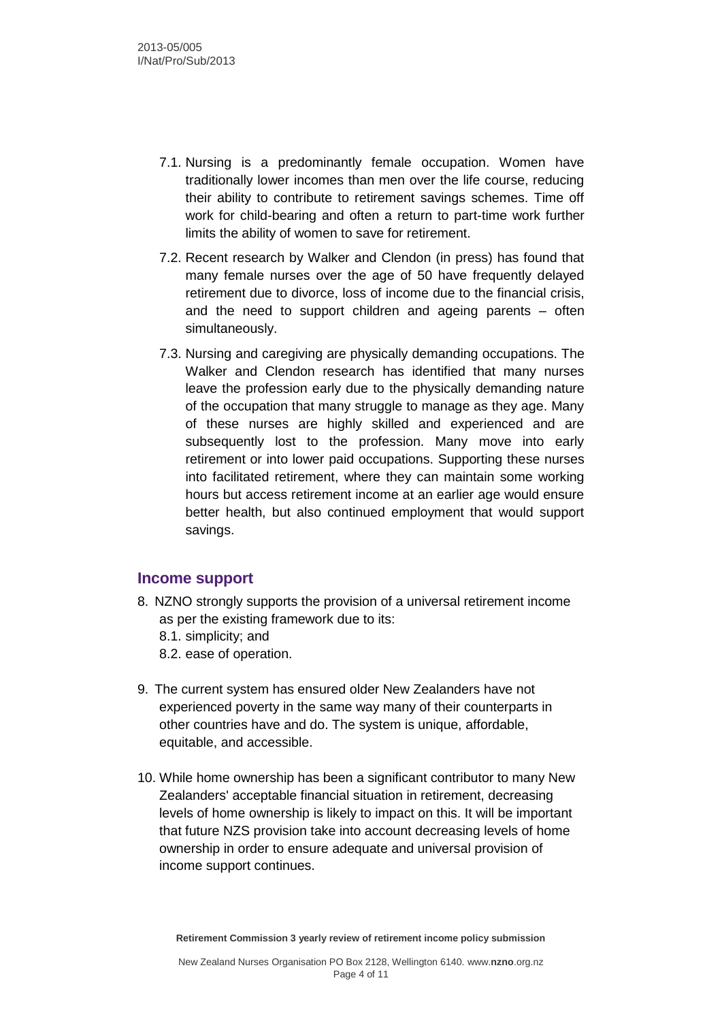- 7.1. Nursing is a predominantly female occupation. Women have traditionally lower incomes than men over the life course, reducing their ability to contribute to retirement savings schemes. Time off work for child-bearing and often a return to part-time work further limits the ability of women to save for retirement.
- 7.2. Recent research by Walker and Clendon (in press) has found that many female nurses over the age of 50 have frequently delayed retirement due to divorce, loss of income due to the financial crisis, and the need to support children and ageing parents – often simultaneously.
- 7.3. Nursing and caregiving are physically demanding occupations. The Walker and Clendon research has identified that many nurses leave the profession early due to the physically demanding nature of the occupation that many struggle to manage as they age. Many of these nurses are highly skilled and experienced and are subsequently lost to the profession. Many move into early retirement or into lower paid occupations. Supporting these nurses into facilitated retirement, where they can maintain some working hours but access retirement income at an earlier age would ensure better health, but also continued employment that would support savings.

#### **Income support**

8. NZNO strongly supports the provision of a universal retirement income as per the existing framework due to its: 8.1. simplicity; and

8.2. ease of operation.

- 9. The current system has ensured older New Zealanders have not experienced poverty in the same way many of their counterparts in other countries have and do. The system is unique, affordable, equitable, and accessible.
- 10. While home ownership has been a significant contributor to many New Zealanders' acceptable financial situation in retirement, decreasing levels of home ownership is likely to impact on this. It will be important that future NZS provision take into account decreasing levels of home ownership in order to ensure adequate and universal provision of income support continues.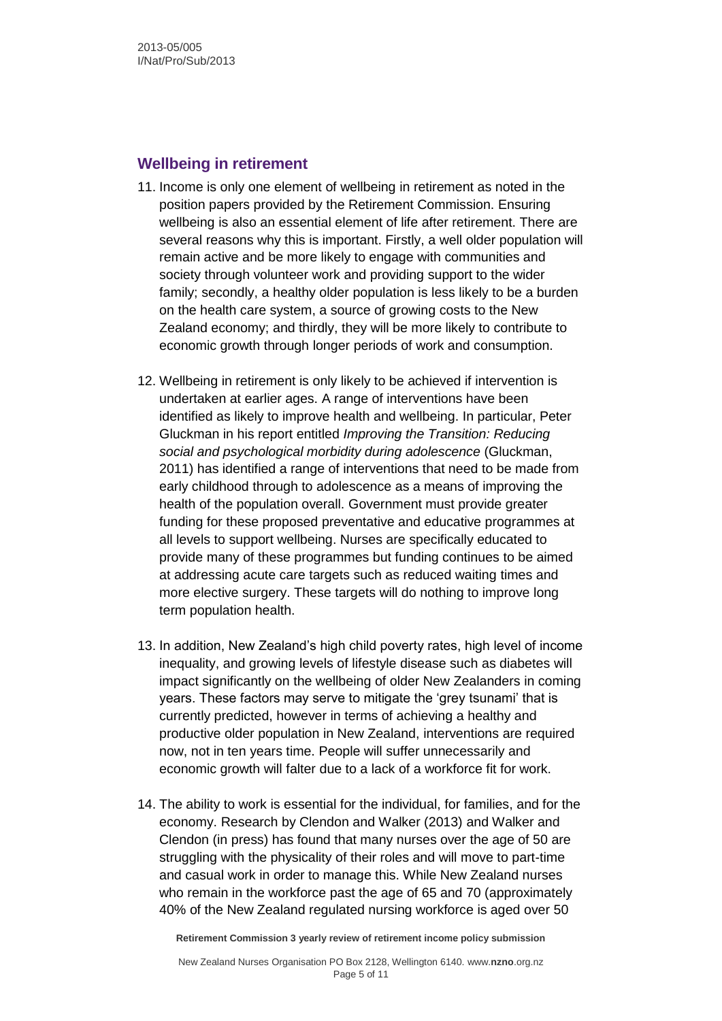#### **Wellbeing in retirement**

- 11. Income is only one element of wellbeing in retirement as noted in the position papers provided by the Retirement Commission. Ensuring wellbeing is also an essential element of life after retirement. There are several reasons why this is important. Firstly, a well older population will remain active and be more likely to engage with communities and society through volunteer work and providing support to the wider family; secondly, a healthy older population is less likely to be a burden on the health care system, a source of growing costs to the New Zealand economy; and thirdly, they will be more likely to contribute to economic growth through longer periods of work and consumption.
- 12. Wellbeing in retirement is only likely to be achieved if intervention is undertaken at earlier ages. A range of interventions have been identified as likely to improve health and wellbeing. In particular, Peter Gluckman in his report entitled *Improving the Transition: Reducing social and psychological morbidity during adolescence* (Gluckman, 2011) has identified a range of interventions that need to be made from early childhood through to adolescence as a means of improving the health of the population overall. Government must provide greater funding for these proposed preventative and educative programmes at all levels to support wellbeing. Nurses are specifically educated to provide many of these programmes but funding continues to be aimed at addressing acute care targets such as reduced waiting times and more elective surgery. These targets will do nothing to improve long term population health.
- 13. In addition, New Zealand's high child poverty rates, high level of income inequality, and growing levels of lifestyle disease such as diabetes will impact significantly on the wellbeing of older New Zealanders in coming years. These factors may serve to mitigate the 'grey tsunami' that is currently predicted, however in terms of achieving a healthy and productive older population in New Zealand, interventions are required now, not in ten years time. People will suffer unnecessarily and economic growth will falter due to a lack of a workforce fit for work.
- 14. The ability to work is essential for the individual, for families, and for the economy. Research by Clendon and Walker (2013) and Walker and Clendon (in press) has found that many nurses over the age of 50 are struggling with the physicality of their roles and will move to part-time and casual work in order to manage this. While New Zealand nurses who remain in the workforce past the age of 65 and 70 (approximately 40% of the New Zealand regulated nursing workforce is aged over 50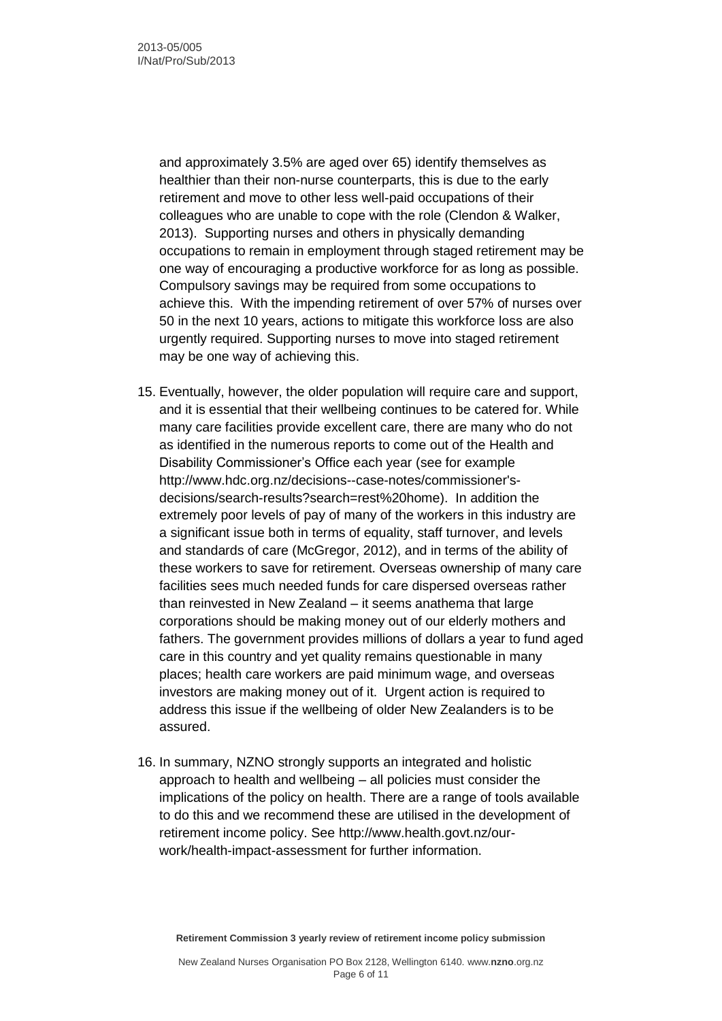and approximately 3.5% are aged over 65) identify themselves as healthier than their non-nurse counterparts, this is due to the early retirement and move to other less well-paid occupations of their colleagues who are unable to cope with the role (Clendon & Walker, 2013). Supporting nurses and others in physically demanding occupations to remain in employment through staged retirement may be one way of encouraging a productive workforce for as long as possible. Compulsory savings may be required from some occupations to achieve this. With the impending retirement of over 57% of nurses over 50 in the next 10 years, actions to mitigate this workforce loss are also urgently required. Supporting nurses to move into staged retirement may be one way of achieving this.

- 15. Eventually, however, the older population will require care and support, and it is essential that their wellbeing continues to be catered for. While many care facilities provide excellent care, there are many who do not as identified in the numerous reports to come out of the Health and Disability Commissioner's Office each year (see for example [http://www.hdc.org.nz/decisions--case-notes/commissioner's](http://www.hdc.org.nz/decisions--case-notes/commissioner)[decisions/search-results?search=rest%20home\)](http://www.hdc.org.nz/decisions--case-notes/commissioner). In addition the extremely poor levels of pay of many of the workers in this industry are a significant issue both in terms of equality, staff turnover, and levels and standards of care (McGregor, 2012), and in terms of the ability of these workers to save for retirement. Overseas ownership of many care facilities sees much needed funds for care dispersed overseas rather than reinvested in New Zealand – it seems anathema that large corporations should be making money out of our elderly mothers and fathers. The government provides millions of dollars a year to fund aged care in this country and yet quality remains questionable in many places; health care workers are paid minimum wage, and overseas investors are making money out of it. Urgent action is required to address this issue if the wellbeing of older New Zealanders is to be assured.
- 16. In summary, NZNO strongly supports an integrated and holistic approach to health and wellbeing – all policies must consider the implications of the policy on health. There are a range of tools available to do this and we recommend these are utilised in the development of retirement income policy. See [http://www.health.govt.nz/our](http://www.health.govt.nz/our-work/health-impact-assessment)[work/health-impact-assessment](http://www.health.govt.nz/our-work/health-impact-assessment) for further information.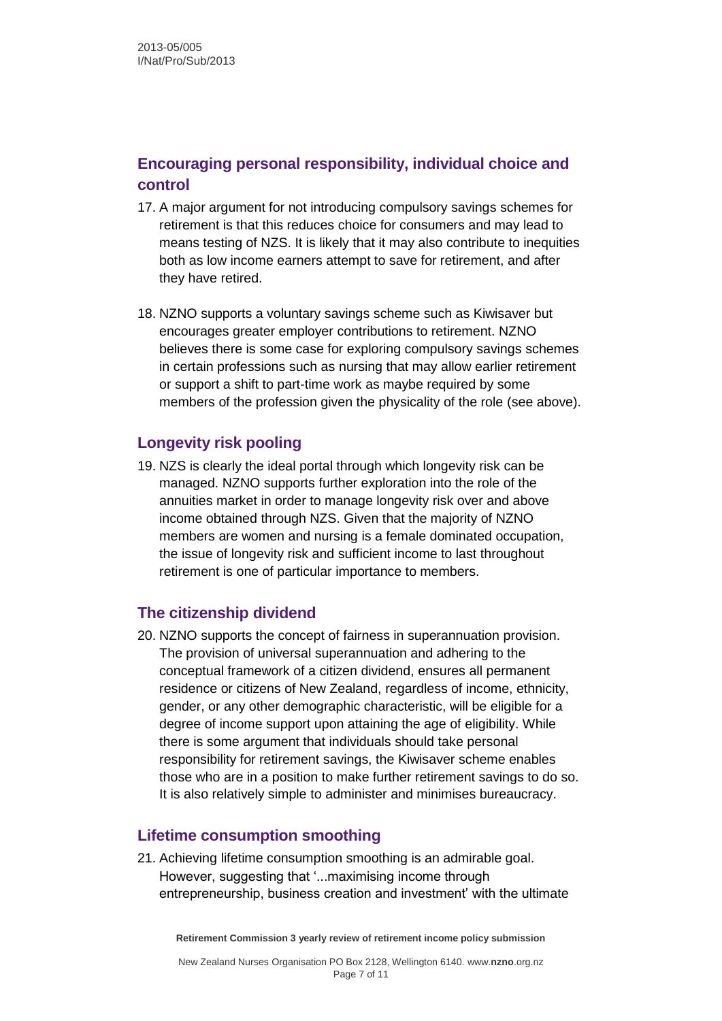## **Encouraging personal responsibility, individual choice and control**

- 17. A major argument for not introducing compulsory savings schemes for retirement is that this reduces choice for consumers and may lead to means testing of NZS. It is likely that it may also contribute to inequities both as low income earners attempt to save for retirement, and after they have retired.
- 18. NZNO supports a voluntary savings scheme such as Kiwisaver but encourages greater employer contributions to retirement. NZNO believes there is some case for exploring compulsory savings schemes in certain professions such as nursing that may allow earlier retirement or support a shift to part-time work as maybe required by some members of the profession given the physicality of the role (see above).

#### **Longevity risk pooling**

19. NZS is clearly the ideal portal through which longevity risk can be managed. NZNO supports further exploration into the role of the annuities market in order to manage longevity risk over and above income obtained through NZS. Given that the majority of NZNO members are women and nursing is a female dominated occupation, the issue of longevity risk and sufficient income to last throughout retirement is one of particular importance to members.

#### **The citizenship dividend**

20. NZNO supports the concept of fairness in superannuation provision. The provision of universal superannuation and adhering to the conceptual framework of a citizen dividend, ensures all permanent residence or citizens of New Zealand, regardless of income, ethnicity, gender, or any other demographic characteristic, will be eligible for a degree of income support upon attaining the age of eligibility. While there is some argument that individuals should take personal responsibility for retirement savings, the Kiwisaver scheme enables those who are in a position to make further retirement savings to do so. It is also relatively simple to administer and minimises bureaucracy.

#### **Lifetime consumption smoothing**

21. Achieving lifetime consumption smoothing is an admirable goal. However, suggesting that '...maximising income through entrepreneurship, business creation and investment' with the ultimate

**Retirement Commission 3 yearly review of retirement income policy submission**

New Zealand Nurses Organisation PO Box 2128, Wellington 6140. www.**nzno**.org.nz Page 7 of 11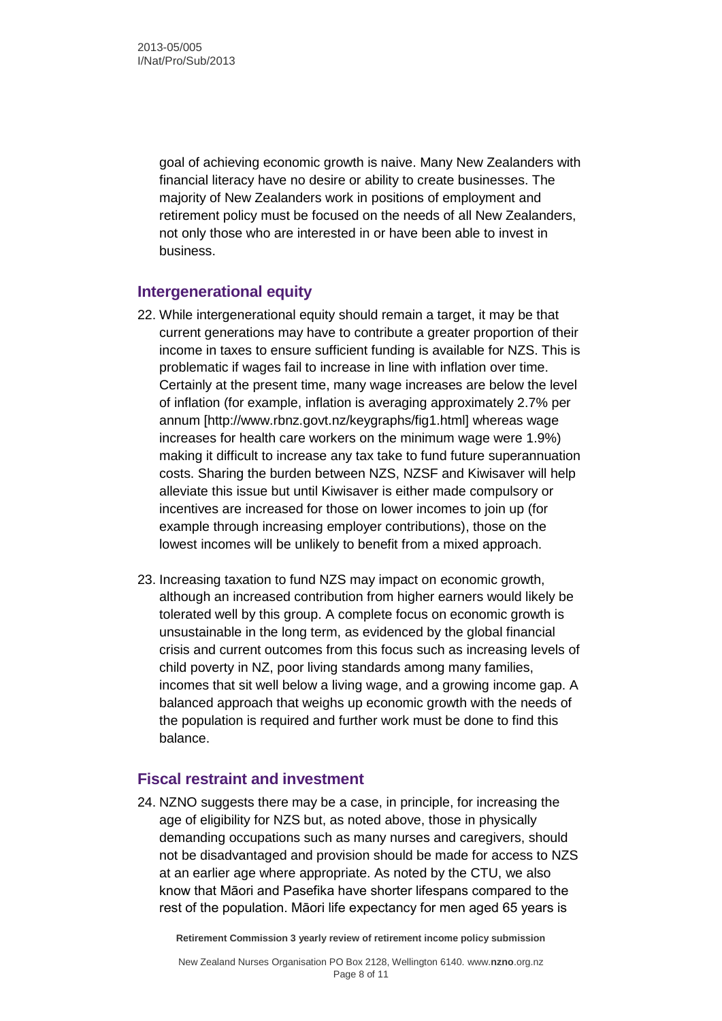goal of achieving economic growth is naive. Many New Zealanders with financial literacy have no desire or ability to create businesses. The majority of New Zealanders work in positions of employment and retirement policy must be focused on the needs of all New Zealanders, not only those who are interested in or have been able to invest in business.

### **Intergenerational equity**

- 22. While intergenerational equity should remain a target, it may be that current generations may have to contribute a greater proportion of their income in taxes to ensure sufficient funding is available for NZS. This is problematic if wages fail to increase in line with inflation over time. Certainly at the present time, many wage increases are below the level of inflation (for example, inflation is averaging approximately 2.7% per annum [http://www.rbnz.govt.nz/keygraphs/fig1.html] whereas wage increases for health care workers on the minimum wage were 1.9%) making it difficult to increase any tax take to fund future superannuation costs. Sharing the burden between NZS, NZSF and Kiwisaver will help alleviate this issue but until Kiwisaver is either made compulsory or incentives are increased for those on lower incomes to join up (for example through increasing employer contributions), those on the lowest incomes will be unlikely to benefit from a mixed approach.
- 23. Increasing taxation to fund NZS may impact on economic growth, although an increased contribution from higher earners would likely be tolerated well by this group. A complete focus on economic growth is unsustainable in the long term, as evidenced by the global financial crisis and current outcomes from this focus such as increasing levels of child poverty in NZ, poor living standards among many families, incomes that sit well below a living wage, and a growing income gap. A balanced approach that weighs up economic growth with the needs of the population is required and further work must be done to find this balance.

#### **Fiscal restraint and investment**

24. NZNO suggests there may be a case, in principle, for increasing the age of eligibility for NZS but, as noted above, those in physically demanding occupations such as many nurses and caregivers, should not be disadvantaged and provision should be made for access to NZS at an earlier age where appropriate. As noted by the CTU, we also know that Māori and Pasefika have shorter lifespans compared to the rest of the population. Māori life expectancy for men aged 65 years is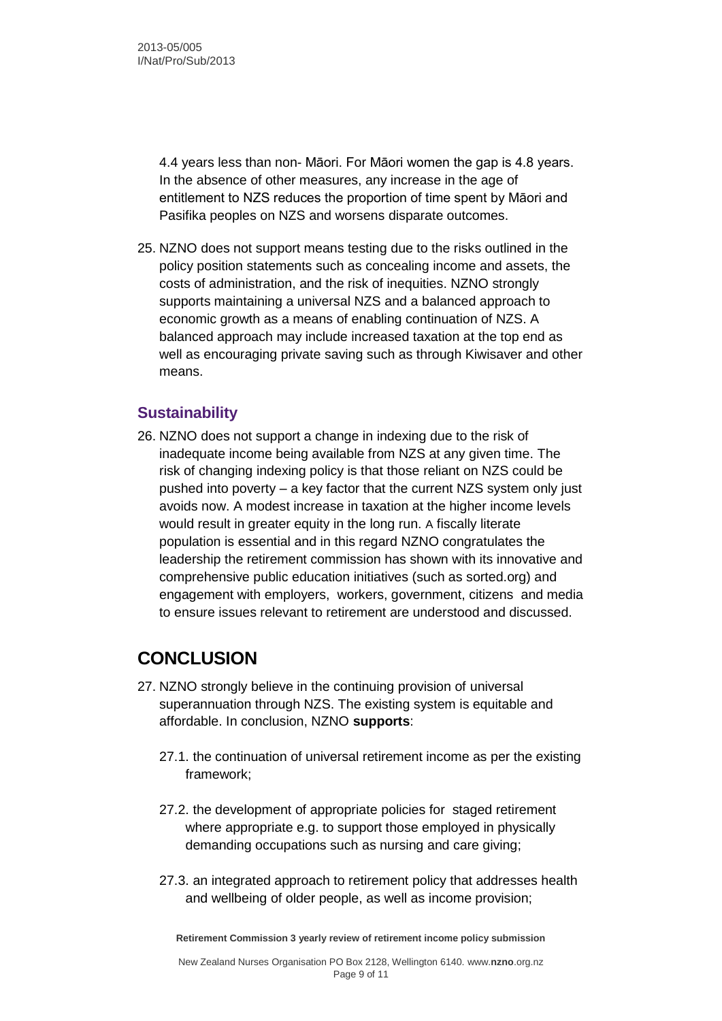4.4 years less than non- Māori. For Māori women the gap is 4.8 years. In the absence of other measures, any increase in the age of entitlement to NZS reduces the proportion of time spent by Māori and Pasifika peoples on NZS and worsens disparate outcomes.

25. NZNO does not support means testing due to the risks outlined in the policy position statements such as concealing income and assets, the costs of administration, and the risk of inequities. NZNO strongly supports maintaining a universal NZS and a balanced approach to economic growth as a means of enabling continuation of NZS. A balanced approach may include increased taxation at the top end as well as encouraging private saving such as through Kiwisaver and other means.

#### **Sustainability**

26. NZNO does not support a change in indexing due to the risk of inadequate income being available from NZS at any given time. The risk of changing indexing policy is that those reliant on NZS could be pushed into poverty – a key factor that the current NZS system only just avoids now. A modest increase in taxation at the higher income levels would result in greater equity in the long run. A fiscally literate population is essential and in this regard NZNO congratulates the leadership the retirement commission has shown with its innovative and comprehensive public education initiatives (such as sorted.org) and engagement with employers, workers, government, citizens and media to ensure issues relevant to retirement are understood and discussed.

## **CONCLUSION**

- 27. NZNO strongly believe in the continuing provision of universal superannuation through NZS. The existing system is equitable and affordable. In conclusion, NZNO **supports**:
	- 27.1. the continuation of universal retirement income as per the existing framework;
	- 27.2. the development of appropriate policies for staged retirement where appropriate e.g. to support those employed in physically demanding occupations such as nursing and care giving;
	- 27.3. an integrated approach to retirement policy that addresses health and wellbeing of older people, as well as income provision;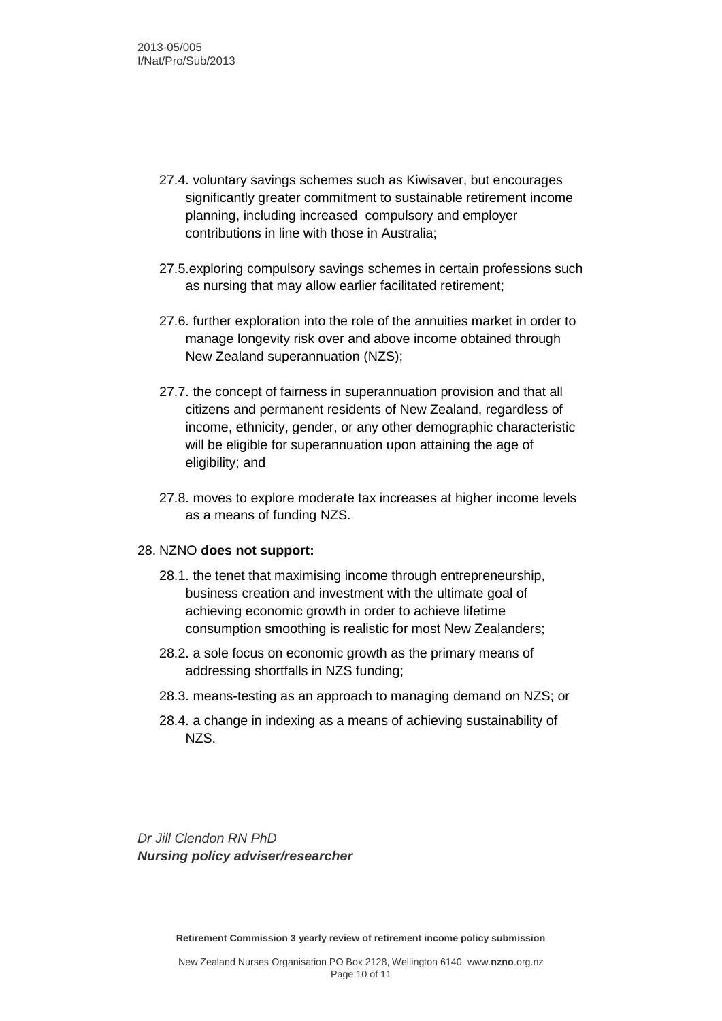- 27.4. voluntary savings schemes such as Kiwisaver, but encourages significantly greater commitment to sustainable retirement income planning, including increased compulsory and employer contributions in line with those in Australia;
- 27.5.exploring compulsory savings schemes in certain professions such as nursing that may allow earlier facilitated retirement;
- 27.6. further exploration into the role of the annuities market in order to manage longevity risk over and above income obtained through New Zealand superannuation (NZS);
- 27.7. the concept of fairness in superannuation provision and that all citizens and permanent residents of New Zealand, regardless of income, ethnicity, gender, or any other demographic characteristic will be eligible for superannuation upon attaining the age of eligibility; and
- 27.8. moves to explore moderate tax increases at higher income levels as a means of funding NZS.

#### 28. NZNO **does not support:**

- 28.1. the tenet that maximising income through entrepreneurship, business creation and investment with the ultimate goal of achieving economic growth in order to achieve lifetime consumption smoothing is realistic for most New Zealanders;
- 28.2. a sole focus on economic growth as the primary means of addressing shortfalls in NZS funding;
- 28.3. means-testing as an approach to managing demand on NZS; or
- 28.4. a change in indexing as a means of achieving sustainability of NZS.

*Dr Jill Clendon RN PhD Nursing policy adviser/researcher*